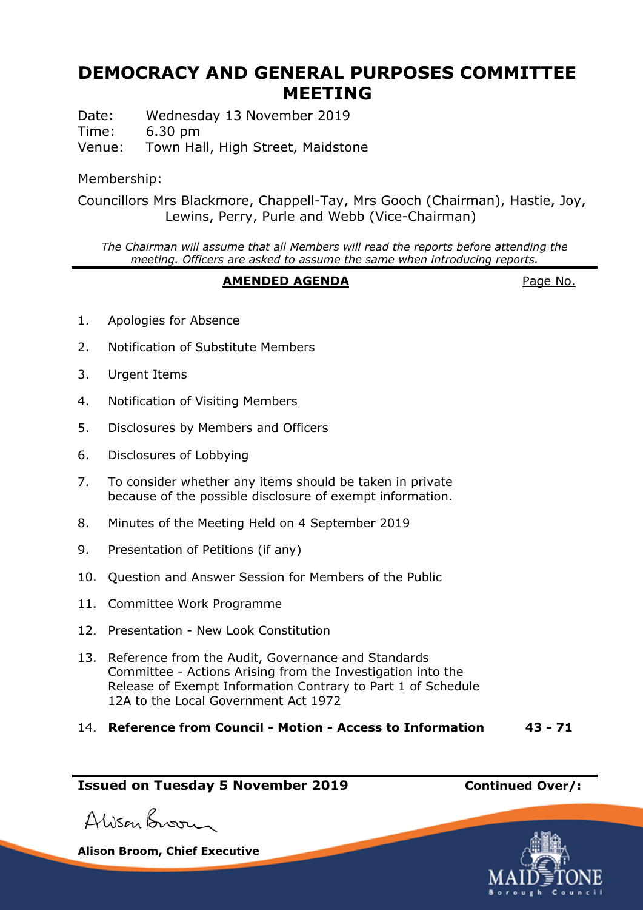# **DEMOCRACY AND GENERAL PURPOSES COMMITTEE MEETING**

Date: Wednesday 13 November 2019 Time: 6.30 pm Venue: Town Hall, High Street, Maidstone

Membership:

Councillors Mrs Blackmore, Chappell-Tay, Mrs Gooch (Chairman), Hastie, Joy, Lewins, Perry, Purle and Webb (Vice-Chairman)

*The Chairman will assume that all Members will read the reports before attending the meeting. Officers are asked to assume the same when introducing reports.*

## **AMENDED AGENDA** Page No.

- 1. Apologies for Absence
- 2. Notification of Substitute Members
- 3. Urgent Items
- 4. Notification of Visiting Members
- 5. Disclosures by Members and Officers
- 6. Disclosures of Lobbying
- 7. To consider whether any items should be taken in private because of the possible disclosure of exempt information.
- 8. Minutes of the Meeting Held on 4 September 2019
- 9. Presentation of Petitions (if any)
- 10. Question and Answer Session for Members of the Public
- 11. Committee Work Programme
- 12. Presentation New Look Constitution
- 13. Reference from the Audit, Governance and Standards Committee - Actions Arising from the Investigation into the Release of Exempt Information Contrary to Part 1 of Schedule 12A to the Local Government Act 1972
- 14. **Reference from Council - Motion - Access to Information 43 - 71**

## **Issued on Tuesday 5 November 2019 Continued Over/:**

Alison Broom

**Alison Broom, Chief Executive**

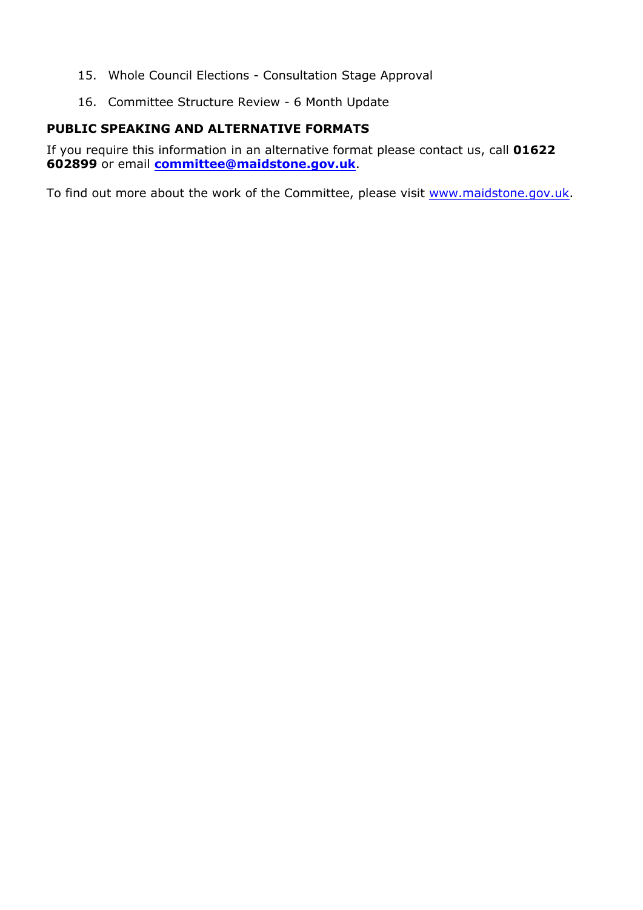- 15. Whole Council Elections Consultation Stage Approval
- 16. Committee Structure Review 6 Month Update

## **PUBLIC SPEAKING AND ALTERNATIVE FORMATS**

If you require this information in an alternative format please contact us, call **01622 602899** or email **[committee@maidstone.gov.uk](mailto:committeeservices@maidstone.gov.uk)**.

To find out more about the work of the Committee, please visit [www.maidstone.gov.uk](http://www.maidstone.gov.uk/).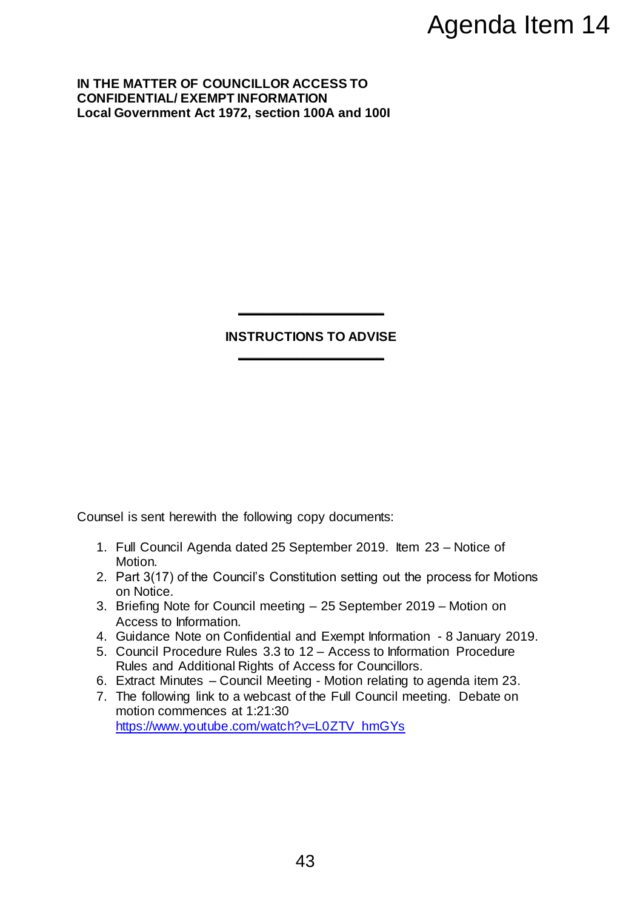**IN THE MATTER OF COUNCILLOR ACCESS TO CONFIDENTIAL/ EXEMPT INFORMATION Local Government Act 1972, section 100A and 100I**

## **INSTRUCTIONS TO ADVISE \_\_\_\_\_\_\_\_\_\_\_\_\_\_\_\_\_\_\_\_**

**\_\_\_\_\_\_\_\_\_\_\_\_\_\_\_\_\_\_\_\_**

Counsel is sent herewith the following copy documents:

- 1. Full Council Agenda dated 25 September 2019. Item 23 Notice of Motion.
- 2. Part 3(17) of the Council's Constitution setting out the process for Motions on Notice.
- 3. Briefing Note for Council meeting 25 September 2019 Motion on Access to Information.
- 4. Guidance Note on Confidential and Exempt Information 8 January 2019.
- 5. Council Procedure Rules 3.3 to 12 Access to Information Procedure Rules and Additional Rights of Access for Councillors.
- 6. Extract Minutes Council Meeting Motion relating to agenda item 23.
- 7. The following link to a webcast of the Full Council meeting. Debate on motion commences at 1:21:30 [https://www.youtube.com/watch?v=L0ZTV\\_hmGYs](https://www.youtube.com/watch?v=L0ZTV_hmGYs) Agenda Item 14<br>
Trich<br>
Trich<br>
100A and 1001<br>
00A and 1001<br>
004 and 1001<br>
004 and 1001<br>
004 and 1001<br>
25 September 2019 – Motion on<br>
25 September 2019 – Motion on<br>
24 Access for Councillors.<br>
12 – Access for Councillors.<br>
2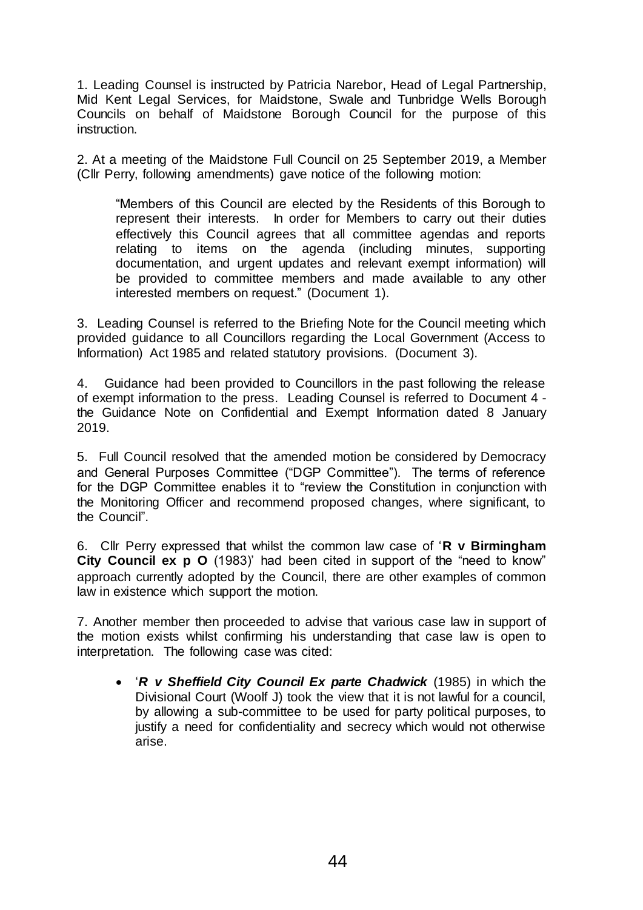1. Leading Counsel is instructed by Patricia Narebor, Head of Legal Partnership, Mid Kent Legal Services, for Maidstone, Swale and Tunbridge Wells Borough Councils on behalf of Maidstone Borough Council for the purpose of this instruction.

2. At a meeting of the Maidstone Full Council on 25 September 2019, a Member (Cllr Perry, following amendments) gave notice of the following motion:

"Members of this Council are elected by the Residents of this Borough to represent their interests. In order for Members to carry out their duties effectively this Council agrees that all committee agendas and reports relating to items on the agenda (including minutes, supporting documentation, and urgent updates and relevant exempt information) will be provided to committee members and made available to any other interested members on request." (Document 1).

3. Leading Counsel is referred to the Briefing Note for the Council meeting which provided guidance to all Councillors regarding the Local Government (Access to Information) Act 1985 and related statutory provisions. (Document 3).

4. Guidance had been provided to Councillors in the past following the release of exempt information to the press. Leading Counsel is referred to Document 4 the Guidance Note on Confidential and Exempt Information dated 8 January 2019.

5. Full Council resolved that the amended motion be considered by Democracy and General Purposes Committee ("DGP Committee"). The terms of reference for the DGP Committee enables it to "review the Constitution in conjunction with the Monitoring Officer and recommend proposed changes, where significant, to the Council".

6. Cllr Perry expressed that whilst the common law case of '**R v Birmingham City Council ex p O** (1983)' had been cited in support of the "need to know" approach currently adopted by the Council, there are other examples of common law in existence which support the motion.

7. Another member then proceeded to advise that various case law in support of the motion exists whilst confirming his understanding that case law is open to interpretation. The following case was cited:

 '*R v Sheffield City Council Ex parte Chadwick* (1985) in which the Divisional Court (Woolf J) took the view that it is not lawful for a council, by allowing a sub-committee to be used for party political purposes, to justify a need for confidentiality and secrecy which would not otherwise arise.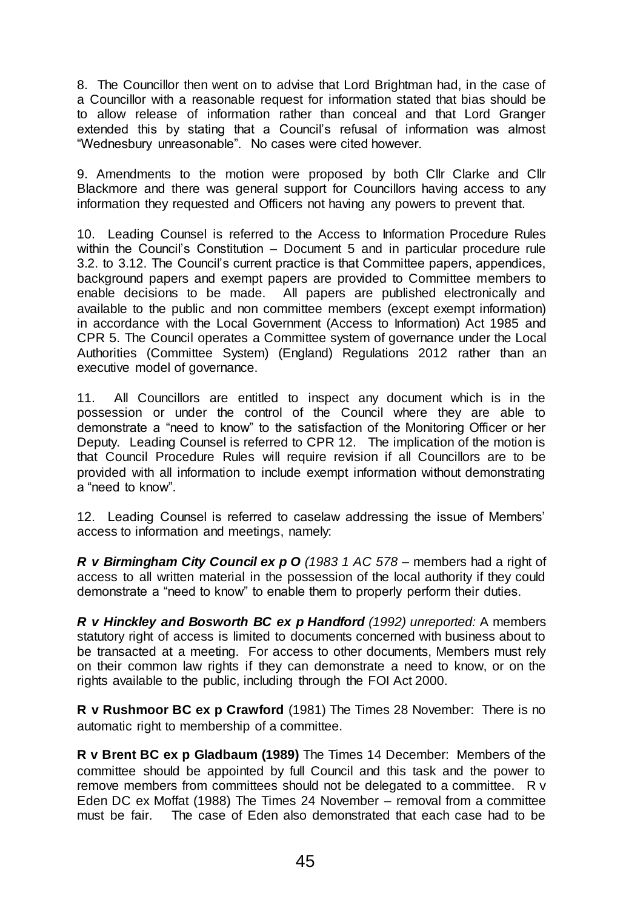8. The Councillor then went on to advise that Lord Brightman had, in the case of a Councillor with a reasonable request for information stated that bias should be to allow release of information rather than conceal and that Lord Granger extended this by stating that a Council's refusal of information was almost "Wednesbury unreasonable". No cases were cited however.

9. Amendments to the motion were proposed by both Cllr Clarke and Cllr Blackmore and there was general support for Councillors having access to any information they requested and Officers not having any powers to prevent that.

10. Leading Counsel is referred to the Access to Information Procedure Rules within the Council's Constitution – Document 5 and in particular procedure rule 3.2. to 3.12. The Council's current practice is that Committee papers, appendices, background papers and exempt papers are provided to Committee members to enable decisions to be made. All papers are published electronically and available to the public and non committee members (except exempt information) in accordance with the Local Government (Access to Information) Act 1985 and CPR 5. The Council operates a Committee system of governance under the Local Authorities (Committee System) (England) Regulations 2012 rather than an executive model of governance.

11. All Councillors are entitled to inspect any document which is in the possession or under the control of the Council where they are able to demonstrate a "need to know" to the satisfaction of the Monitoring Officer or her Deputy. Leading Counsel is referred to CPR 12. The implication of the motion is that Council Procedure Rules will require revision if all Councillors are to be provided with all information to include exempt information without demonstrating a "need to know".

12. Leading Counsel is referred to caselaw addressing the issue of Members' access to information and meetings, namely:

*R v Birmingham City Council ex p O (1983 1 AC 578* – members had a right of access to all written material in the possession of the local authority if they could demonstrate a "need to know" to enable them to properly perform their duties.

*R v Hinckley and Bosworth BC ex p Handford (1992) unreported:* A members statutory right of access is limited to documents concerned with business about to be transacted at a meeting. For access to other documents, Members must rely on their common law rights if they can demonstrate a need to know, or on the rights available to the public, including through the FOI Act 2000.

**R v Rushmoor BC ex p Crawford** (1981) The Times 28 November: There is no automatic right to membership of a committee.

**R v Brent BC ex p Gladbaum (1989)** The Times 14 December: Members of the committee should be appointed by full Council and this task and the power to remove members from committees should not be delegated to a committee. R v Eden DC ex Moffat (1988) The Times 24 November – removal from a committee must be fair. The case of Eden also demonstrated that each case had to be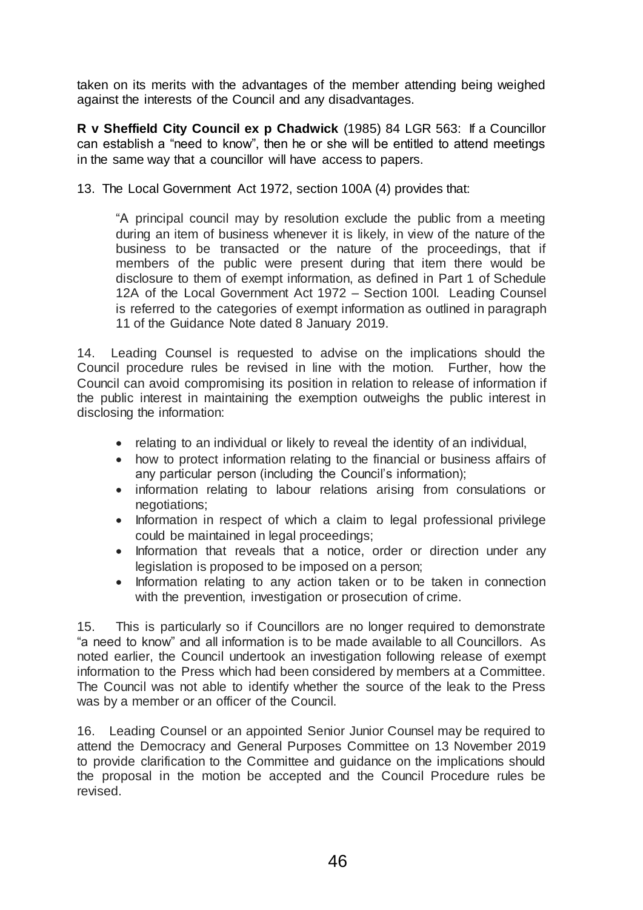taken on its merits with the advantages of the member attending being weighed against the interests of the Council and any disadvantages.

**R v Sheffield City Council ex p Chadwick** (1985) 84 LGR 563: If a Councillor can establish a "need to know", then he or she will be entitled to attend meetings in the same way that a councillor will have access to papers.

13. The Local Government Act 1972, section 100A (4) provides that:

"A principal council may by resolution exclude the public from a meeting during an item of business whenever it is likely, in view of the nature of the business to be transacted or the nature of the proceedings, that if members of the public were present during that item there would be disclosure to them of exempt information, as defined in Part 1 of Schedule 12A of the Local Government Act 1972 – Section 100I. Leading Counsel is referred to the categories of exempt information as outlined in paragraph 11 of the Guidance Note dated 8 January 2019.

14. Leading Counsel is requested to advise on the implications should the Council procedure rules be revised in line with the motion. Further, how the Council can avoid compromising its position in relation to release of information if the public interest in maintaining the exemption outweighs the public interest in disclosing the information:

- relating to an individual or likely to reveal the identity of an individual,
- how to protect information relating to the financial or business affairs of any particular person (including the Council's information);
- information relating to labour relations arising from consulations or negotiations;
- Information in respect of which a claim to legal professional privilege could be maintained in legal proceedings;
- Information that reveals that a notice, order or direction under any legislation is proposed to be imposed on a person;
- Information relating to any action taken or to be taken in connection with the prevention, investigation or prosecution of crime.

15. This is particularly so if Councillors are no longer required to demonstrate "a need to know" and all information is to be made available to all Councillors. As noted earlier, the Council undertook an investigation following release of exempt information to the Press which had been considered by members at a Committee. The Council was not able to identify whether the source of the leak to the Press was by a member or an officer of the Council.

16. Leading Counsel or an appointed Senior Junior Counsel may be required to attend the Democracy and General Purposes Committee on 13 November 2019 to provide clarification to the Committee and guidance on the implications should the proposal in the motion be accepted and the Council Procedure rules be revised.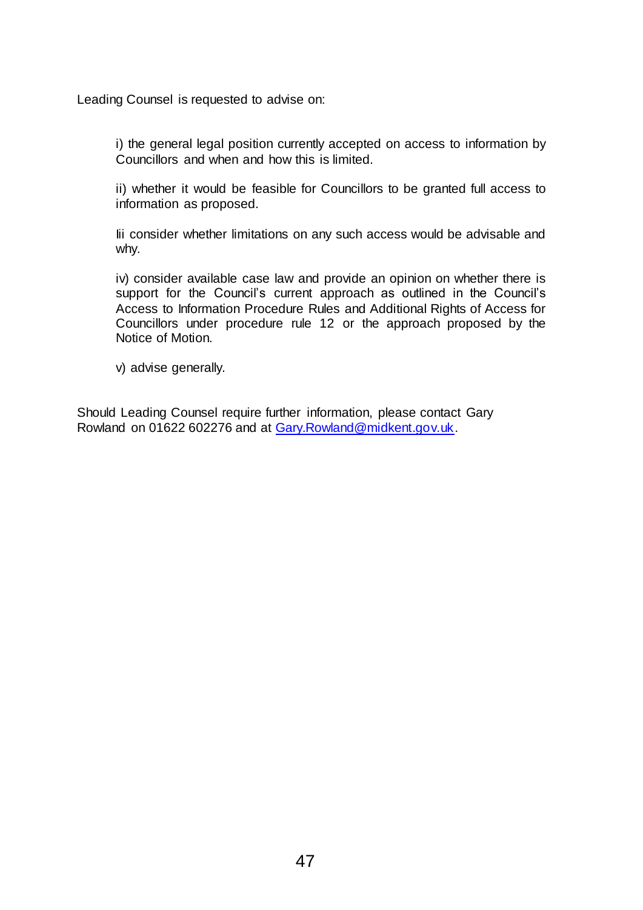Leading Counsel is requested to advise on:

i) the general legal position currently accepted on access to information by Councillors and when and how this is limited.

ii) whether it would be feasible for Councillors to be granted full access to information as proposed.

Iii consider whether limitations on any such access would be advisable and why.

iv) consider available case law and provide an opinion on whether there is support for the Council's current approach as outlined in the Council's Access to Information Procedure Rules and Additional Rights of Access for Councillors under procedure rule 12 or the approach proposed by the Notice of Motion.

v) advise generally.

Should Leading Counsel require further information, please contact Gary Rowland on 01622 602276 and at [Gary.Rowland@midkent.gov.uk.](mailto:Gary.Rowland@midkent.gov.uk)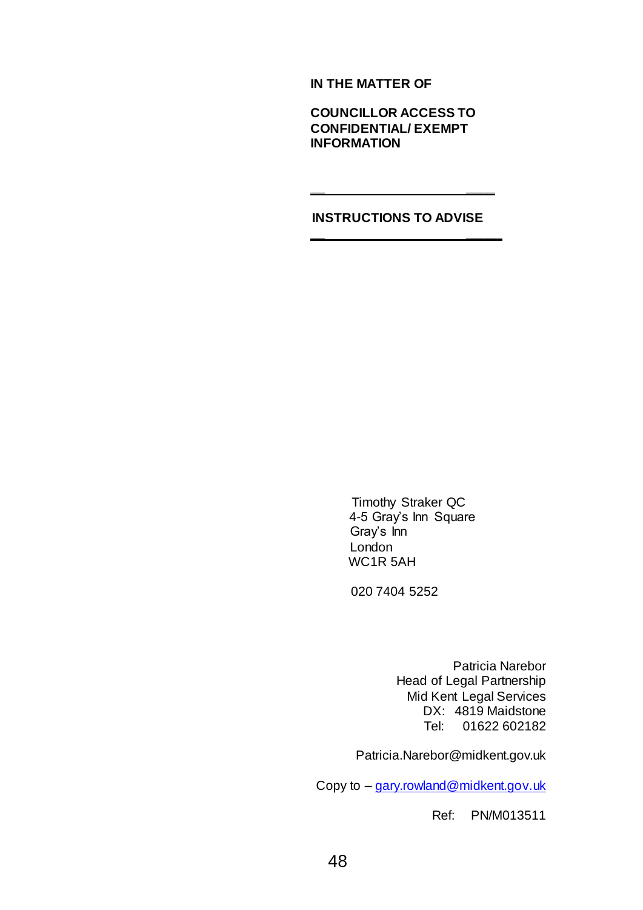**IN THE MATTER OF**

**COUNCILLOR ACCESS TO CONFIDENTIAL/ EXEMPT INFORMATION**

## **INSTRUCTIONS TO ADVISE**

**\_\_ \_\_\_\_\_**

**\_\_ \_\_\_\_**

 Timothy Straker QC 4-5 Gray's Inn Square Gray's Inn London WC1R 5AH

020 7404 5252

Patricia Narebor Head of Legal Partnership Mid Kent Legal Services DX: 4819 Maidstone Tel: 01622 602182

Patricia.Narebor@midkent.gov.uk

Copy to – gary.rowland@midkent.gov.uk

Ref: PN/M013511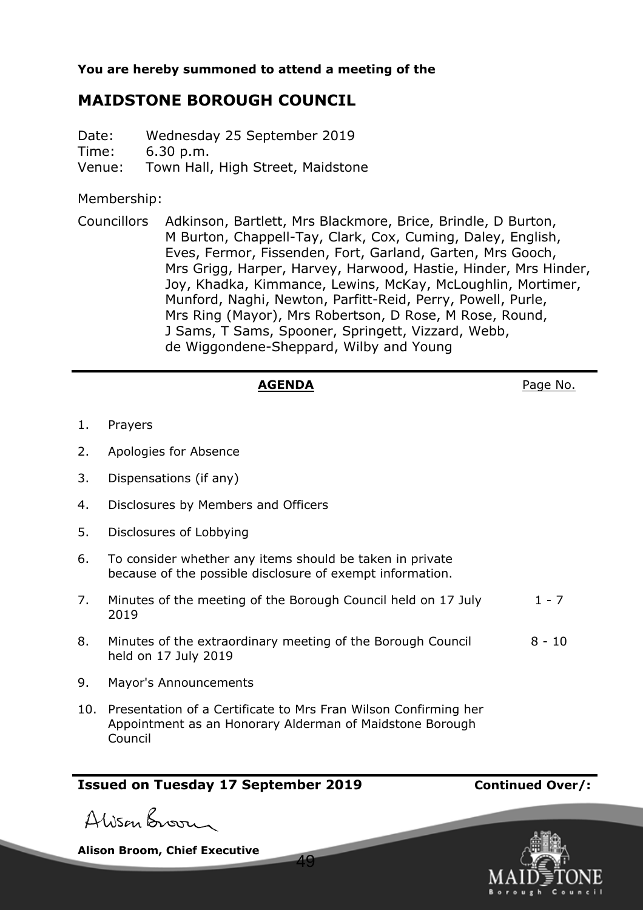**You are hereby summoned to attend a meeting of the**

# **MAIDSTONE BOROUGH COUNCIL**

Date: Wednesday 25 September 2019 Time: 6.30 p.m. Venue: Town Hall, High Street, Maidstone

Membership:

Councillors Adkinson, Bartlett, Mrs Blackmore, Brice, Brindle, D Burton, M Burton, Chappell-Tay, Clark, Cox, Cuming, Daley, English, Eves, Fermor, Fissenden, Fort, Garland, Garten, Mrs Gooch, Mrs Grigg, Harper, Harvey, Harwood, Hastie, Hinder, Mrs Hinder, Joy, Khadka, Kimmance, Lewins, McKay, McLoughlin, Mortimer, Munford, Naghi, Newton, Parfitt-Reid, Perry, Powell, Purle, Mrs Ring (Mayor), Mrs Robertson, D Rose, M Rose, Round, J Sams, T Sams, Spooner, Springett, Vizzard, Webb, de Wiggondene-Sheppard, Wilby and Young

## AGENDA **AGENDA**Page No.

- 1. Prayers
- 2. Apologies for Absence
- 3. Dispensations (if any)
- 4. Disclosures by Members and Officers
- 5. Disclosures of Lobbying
- 6. To consider whether any items should be taken in private because of the possible disclosure of exempt information.
- 7. Minutes of the meeting of the Borough Council held on 17 July 2019  $1 - 7$
- 8. Minutes of the extraordinary meeting of the Borough Council held on 17 July 2019 8 - 10
- 9. Mayor's Announcements
- 10. Presentation of a Certificate to Mrs Fran Wilson Confirming her Appointment as an Honorary Alderman of Maidstone Borough Council

49

## **Issued on Tuesday 17 September 2019 Continued Over/:**



**Alison Broom, Chief Executive**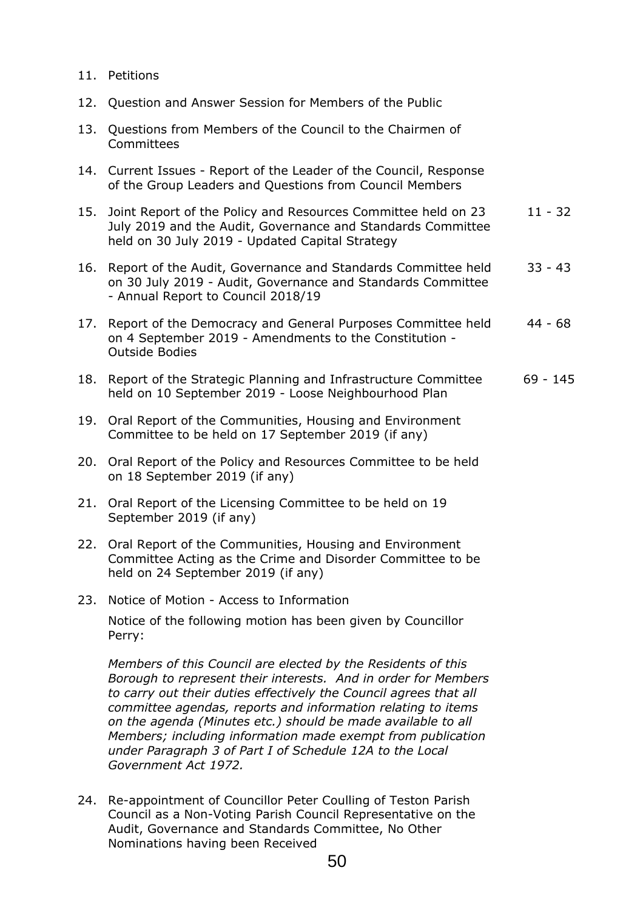- 11. Petitions
- 12. Question and Answer Session for Members of the Public
- 13. Questions from Members of the Council to the Chairmen of **Committees**
- 14. Current Issues Report of the Leader of the Council, Response of the Group Leaders and Questions from Council Members
- 15. Joint Report of the Policy and Resources Committee held on 23 July 2019 and the Audit, Governance and Standards Committee held on 30 July 2019 - Updated Capital Strategy 11 - 32
- 16. Report of the Audit, Governance and Standards Committee held on 30 July 2019 - Audit, Governance and Standards Committee - Annual Report to Council 2018/19 33 - 43
- 17. Report of the Democracy and General Purposes Committee held on 4 September 2019 - Amendments to the Constitution - Outside Bodies 44 - 68
- 18. Report of the Strategic Planning and Infrastructure Committee held on 10 September 2019 - Loose Neighbourhood Plan 69 - 145
- 19. Oral Report of the Communities, Housing and Environment Committee to be held on 17 September 2019 (if any)
- 20. Oral Report of the Policy and Resources Committee to be held on 18 September 2019 (if any)
- 21. Oral Report of the Licensing Committee to be held on 19 September 2019 (if any)
- 22. Oral Report of the Communities, Housing and Environment Committee Acting as the Crime and Disorder Committee to be held on 24 September 2019 (if any)
- 23. Notice of Motion Access to Information Notice of the following motion has been given by Councillor Perry:

*Members of this Council are elected by the Residents of this Borough to represent their interests. And in order for Members to carry out their duties effectively the Council agrees that all committee agendas, reports and information relating to items on the agenda (Minutes etc.) should be made available to all Members; including information made exempt from publication under Paragraph 3 of Part I of Schedule 12A to the Local Government Act 1972.*

24. Re-appointment of Councillor Peter Coulling of Teston Parish Council as a Non-Voting Parish Council Representative on the Audit, Governance and Standards Committee, No Other Nominations having been Received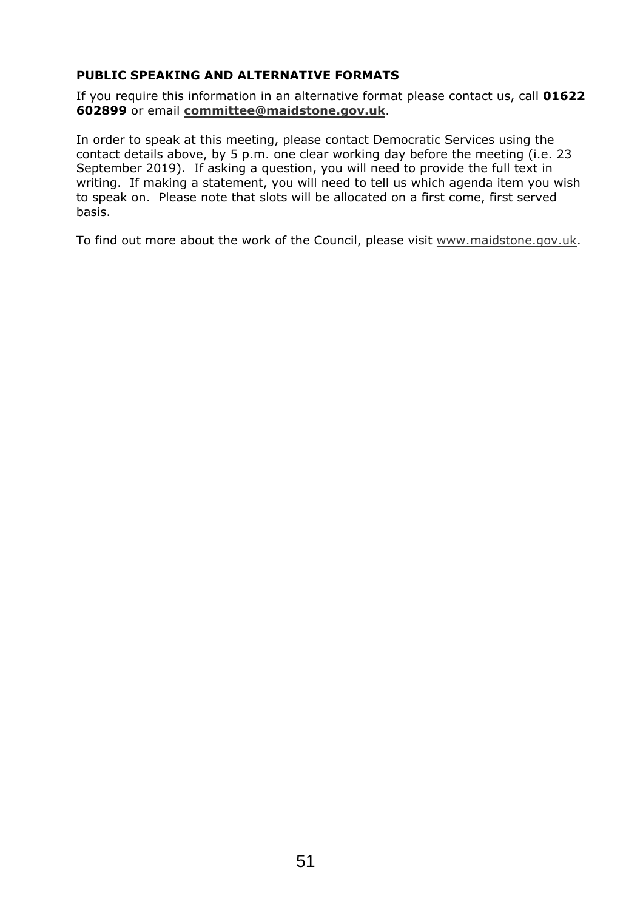## **PUBLIC SPEAKING AND ALTERNATIVE FORMATS**

If you require this information in an alternative format please contact us, call **01622 602899** or email **committee@maidstone.gov.uk**.

In order to speak at this meeting, please contact Democratic Services using the contact details above, by 5 p.m. one clear working day before the meeting (i.e. 23 September 2019). If asking a question, you will need to provide the full text in writing. If making a statement, you will need to tell us which agenda item you wish to speak on. Please note that slots will be allocated on a first come, first served basis.

To find out more about the work of the Council, please visit www.maidstone.gov.uk.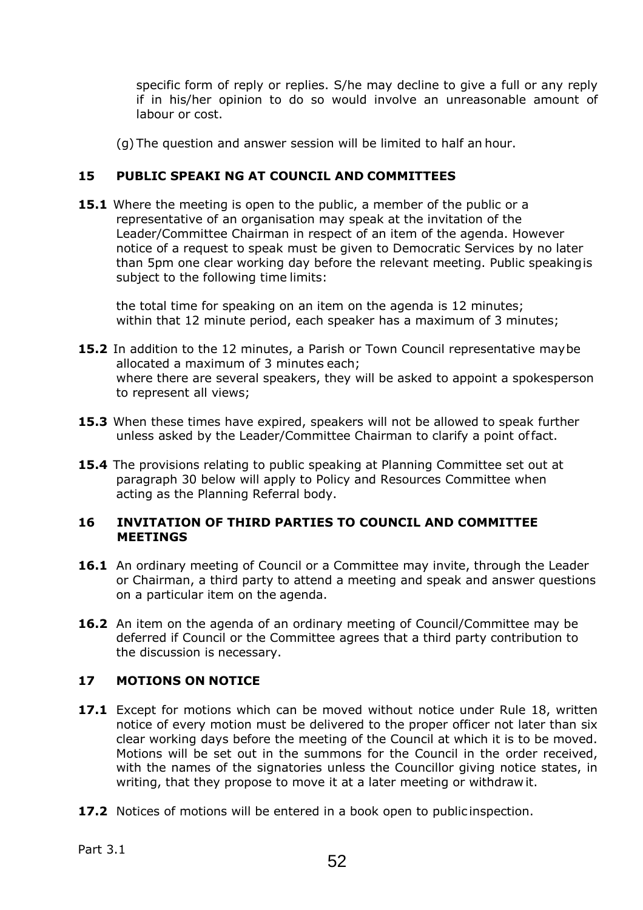specific form of reply or replies. S/he may decline to give a full or any reply if in his/her opinion to do so would involve an unreasonable amount of labour or cost.

(g) The question and answer session will be limited to half an hour.

## **15 PUBLIC SPEAKI NG AT COUNCIL AND COMMITTEES**

**15.1** Where the meeting is open to the public, a member of the public or a representative of an organisation may speak at the invitation of the Leader/Committee Chairman in respect of an item of the agenda. However notice of a request to speak must be given to Democratic Services by no later than 5pm one clear working day before the relevant meeting. Public speaking is subject to the following time limits:

the total time for speaking on an item on the agenda is 12 minutes; within that 12 minute period, each speaker has a maximum of 3 minutes;

- **15.2** In addition to the 12 minutes, a Parish or Town Council representative may be allocated a maximum of 3 minutes each; where there are several speakers, they will be asked to appoint a spokesperson to represent all views;
- **15.3** When these times have expired, speakers will not be allowed to speak further unless asked by the Leader/Committee Chairman to clarify a point of fact.
- **15.4** The provisions relating to public speaking at Planning Committee set out at paragraph 30 below will apply to Policy and Resources Committee when acting as the Planning Referral body.

## **16 INVITATION OF THIRD PARTIES TO COUNCIL AND COMMITTEE MEETINGS**

- **16.1** An ordinary meeting of Council or a Committee may invite, through the Leader or Chairman, a third party to attend a meeting and speak and answer questions on a particular item on the agenda.
- **16.2** An item on the agenda of an ordinary meeting of Council/Committee may be deferred if Council or the Committee agrees that a third party contribution to the discussion is necessary.

## **17 MOTIONS ON NOTICE**

- **17.1** Except for motions which can be moved without notice under Rule 18, written notice of every motion must be delivered to the proper officer not later than six clear working days before the meeting of the Council at which it is to be moved. Motions will be set out in the summons for the Council in the order received, with the names of the signatories unless the Councillor giving notice states, in writing, that they propose to move it at a later meeting or withdraw it.
- **17.2** Notices of motions will be entered in a book open to public inspection.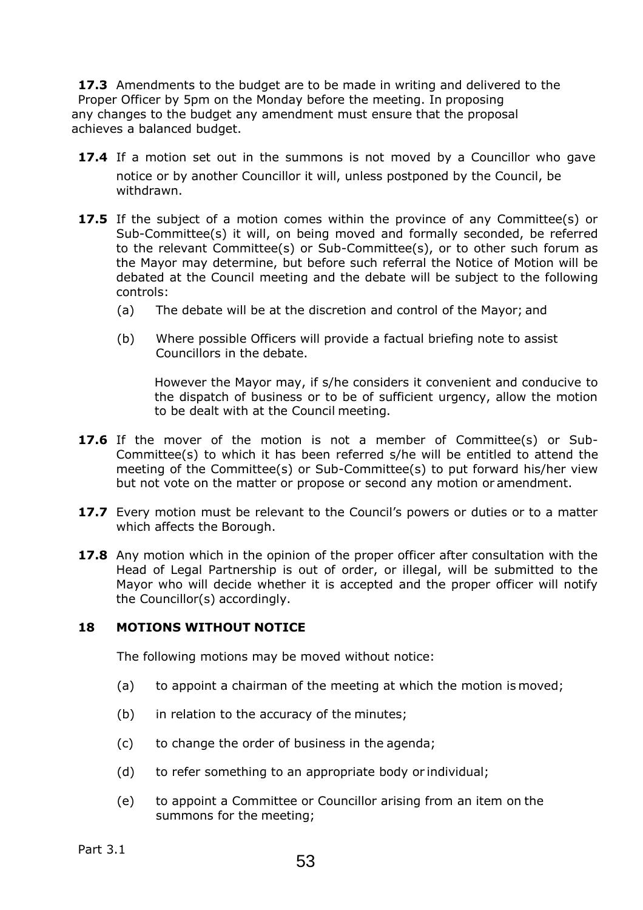**17.3** Amendments to the budget are to be made in writing and delivered to the Proper Officer by 5pm on the Monday before the meeting. In proposing any changes to the budget any amendment must ensure that the proposal achieves a balanced budget.

- **17.4** If a motion set out in the summons is not moved by a Councillor who gave notice or by another Councillor it will, unless postponed by the Council, be withdrawn.
- **17.5** If the subject of a motion comes within the province of any Committee(s) or Sub-Committee(s) it will, on being moved and formally seconded, be referred to the relevant Committee(s) or Sub-Committee(s), or to other such forum as the Mayor may determine, but before such referral the Notice of Motion will be debated at the Council meeting and the debate will be subject to the following controls:
	- (a) The debate will be at the discretion and control of the Mayor; and
	- (b) Where possible Officers will provide a factual briefing note to assist Councillors in the debate.

However the Mayor may, if s/he considers it convenient and conducive to the dispatch of business or to be of sufficient urgency, allow the motion to be dealt with at the Council meeting.

- **17.6** If the mover of the motion is not a member of Committee(s) or Sub-Committee(s) to which it has been referred s/he will be entitled to attend the meeting of the Committee(s) or Sub-Committee(s) to put forward his/her view but not vote on the matter or propose or second any motion or amendment.
- **17.7** Every motion must be relevant to the Council's powers or duties or to a matter which affects the Borough.
- **17.8** Any motion which in the opinion of the proper officer after consultation with the Head of Legal Partnership is out of order, or illegal, will be submitted to the Mayor who will decide whether it is accepted and the proper officer will notify the Councillor(s) accordingly.

## **18 MOTIONS WITHOUT NOTICE**

The following motions may be moved without notice:

- (a) to appoint a chairman of the meeting at which the motion is moved;
- (b) in relation to the accuracy of the minutes;
- (c) to change the order of business in the agenda;
- (d) to refer something to an appropriate body or individual;
- (e) to appoint a Committee or Councillor arising from an item on the summons for the meeting;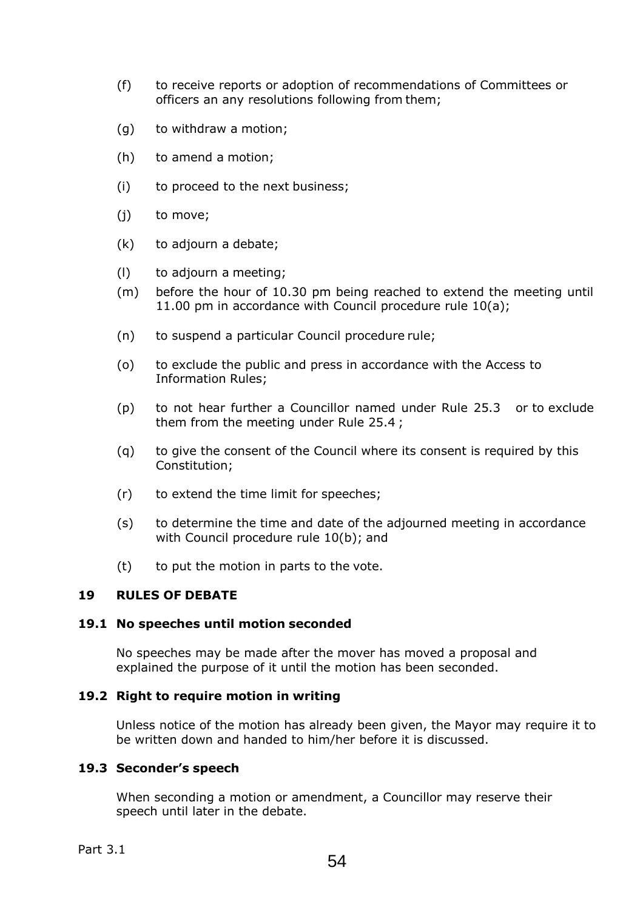- (f) to receive reports or adoption of recommendations of Committees or officers an any resolutions following from them;
- (g) to withdraw a motion;
- (h) to amend a motion;
- (i) to proceed to the next business;
- (j) to move;
- (k) to adjourn a debate;
- (l) to adjourn a meeting;
- (m) before the hour of 10.30 pm being reached to extend the meeting until 11.00 pm in accordance with Council procedure rule 10(a);
- (n) to suspend a particular Council procedure rule;
- (o) to exclude the public and press in accordance with the Access to Information Rules;
- (p) to not hear further a Councillor named under Rule 25.3 or to exclude them from the meeting under Rule 25.4 ;
- (q) to give the consent of the Council where its consent is required by this Constitution;
- (r) to extend the time limit for speeches;
- (s) to determine the time and date of the adjourned meeting in accordance with Council procedure rule 10(b); and
- (t) to put the motion in parts to the vote.

## **19 RULES OF DEBATE**

## **19.1 No speeches until motion seconded**

No speeches may be made after the mover has moved a proposal and explained the purpose of it until the motion has been seconded.

## **19.2 Right to require motion in writing**

Unless notice of the motion has already been given, the Mayor may require it to be written down and handed to him/her before it is discussed.

## **19.3 Seconder's speech**

When seconding a motion or amendment, a Councillor may reserve their speech until later in the debate.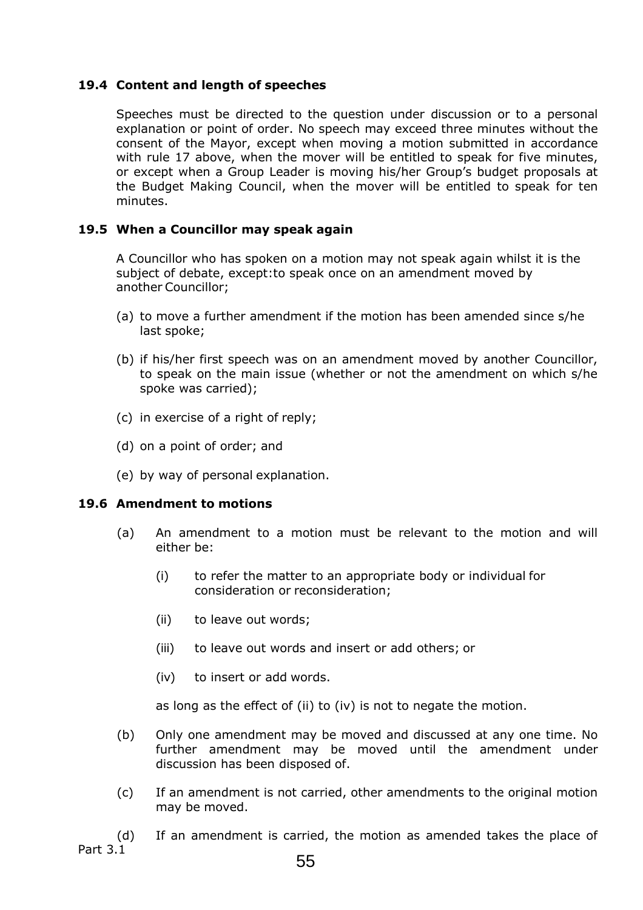## **19.4 Content and length of speeches**

Speeches must be directed to the question under discussion or to a personal explanation or point of order. No speech may exceed three minutes without the consent of the Mayor, except when moving a motion submitted in accordance with rule 17 above, when the mover will be entitled to speak for five minutes, or except when a Group Leader is moving his/her Group's budget proposals at the Budget Making Council, when the mover will be entitled to speak for ten minutes.

## **19.5 When a Councillor may speak again**

A Councillor who has spoken on a motion may not speak again whilst it is the subject of debate, except:to speak once on an amendment moved by another Councillor;

- (a) to move a further amendment if the motion has been amended since s/he last spoke;
- (b) if his/her first speech was on an amendment moved by another Councillor, to speak on the main issue (whether or not the amendment on which s/he spoke was carried);
- (c) in exercise of a right of reply;
- (d) on a point of order; and
- (e) by way of personal explanation.

## **19.6 Amendment to motions**

- (a) An amendment to a motion must be relevant to the motion and will either be:
	- (i) to refer the matter to an appropriate body or individual for consideration or reconsideration;
	- (ii) to leave out words;
	- (iii) to leave out words and insert or add others; or
	- (iv) to insert or add words.

as long as the effect of (ii) to (iv) is not to negate the motion.

- (b) Only one amendment may be moved and discussed at any one time. No further amendment may be moved until the amendment under discussion has been disposed of.
- (c) If an amendment is not carried, other amendments to the original motion may be moved.

Part 3.1 (d) If an amendment is carried, the motion as amended takes the place of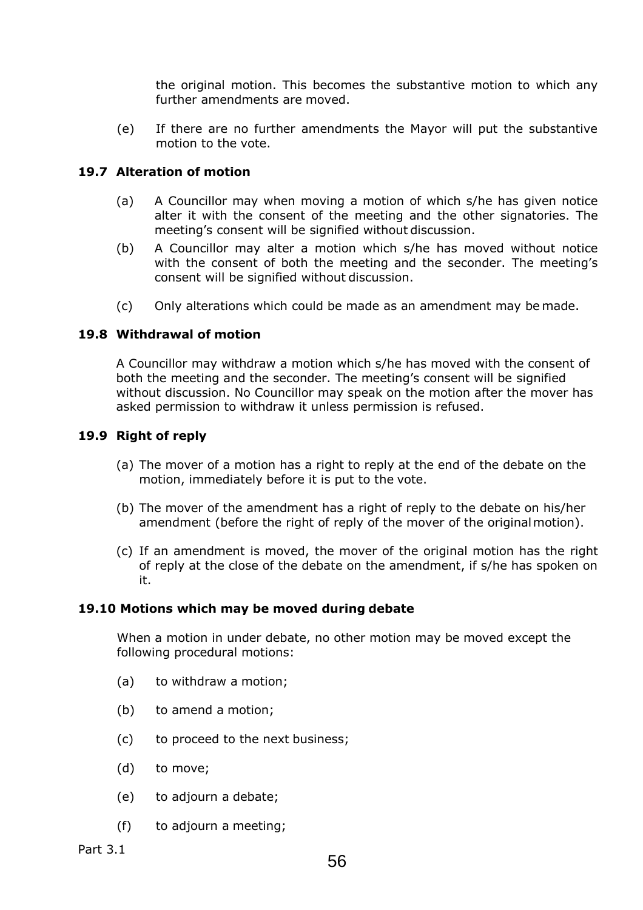the original motion. This becomes the substantive motion to which any further amendments are moved.

(e) If there are no further amendments the Mayor will put the substantive motion to the vote.

## **19.7 Alteration of motion**

- (a) A Councillor may when moving a motion of which s/he has given notice alter it with the consent of the meeting and the other signatories. The meeting's consent will be signified without discussion.
- (b) A Councillor may alter a motion which s/he has moved without notice with the consent of both the meeting and the seconder. The meeting's consent will be signified without discussion.
- (c) Only alterations which could be made as an amendment may be made.

## **19.8 Withdrawal of motion**

A Councillor may withdraw a motion which s/he has moved with the consent of both the meeting and the seconder. The meeting's consent will be signified without discussion. No Councillor may speak on the motion after the mover has asked permission to withdraw it unless permission is refused.

## **19.9 Right of reply**

- (a) The mover of a motion has a right to reply at the end of the debate on the motion, immediately before it is put to the vote.
- (b) The mover of the amendment has a right of reply to the debate on his/her amendment (before the right of reply of the mover of the original motion).
- (c) If an amendment is moved, the mover of the original motion has the right of reply at the close of the debate on the amendment, if s/he has spoken on it.

## **19.10 Motions which may be moved during debate**

When a motion in under debate, no other motion may be moved except the following procedural motions:

- (a) to withdraw a motion;
- (b) to amend a motion;
- (c) to proceed to the next business;
- (d) to move;
- (e) to adjourn a debate;
- (f) to adjourn a meeting;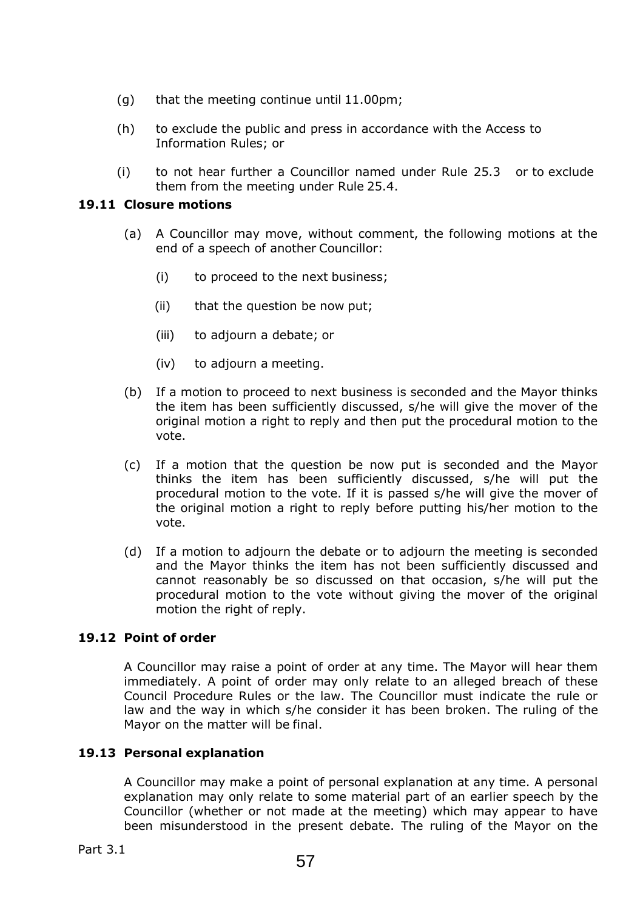- (g) that the meeting continue until 11.00pm;
- (h) to exclude the public and press in accordance with the Access to Information Rules; or
- (i) to not hear further a Councillor named under Rule 25.3 or to exclude them from the meeting under Rule 25.4.

## **19.11 Closure motions**

- (a) A Councillor may move, without comment, the following motions at the end of a speech of another Councillor:
	- (i) to proceed to the next business;
	- (ii) that the question be now put;
	- (iii) to adjourn a debate; or
	- (iv) to adjourn a meeting.
- (b) If a motion to proceed to next business is seconded and the Mayor thinks the item has been sufficiently discussed, s/he will give the mover of the original motion a right to reply and then put the procedural motion to the vote.
- (c) If a motion that the question be now put is seconded and the Mayor thinks the item has been sufficiently discussed, s/he will put the procedural motion to the vote. If it is passed s/he will give the mover of the original motion a right to reply before putting his/her motion to the vote.
- (d) If a motion to adjourn the debate or to adjourn the meeting is seconded and the Mayor thinks the item has not been sufficiently discussed and cannot reasonably be so discussed on that occasion, s/he will put the procedural motion to the vote without giving the mover of the original motion the right of reply.

## **19.12 Point of order**

A Councillor may raise a point of order at any time. The Mayor will hear them immediately. A point of order may only relate to an alleged breach of these Council Procedure Rules or the law. The Councillor must indicate the rule or law and the way in which s/he consider it has been broken. The ruling of the Mayor on the matter will be final.

## **19.13 Personal explanation**

A Councillor may make a point of personal explanation at any time. A personal explanation may only relate to some material part of an earlier speech by the Councillor (whether or not made at the meeting) which may appear to have been misunderstood in the present debate. The ruling of the Mayor on the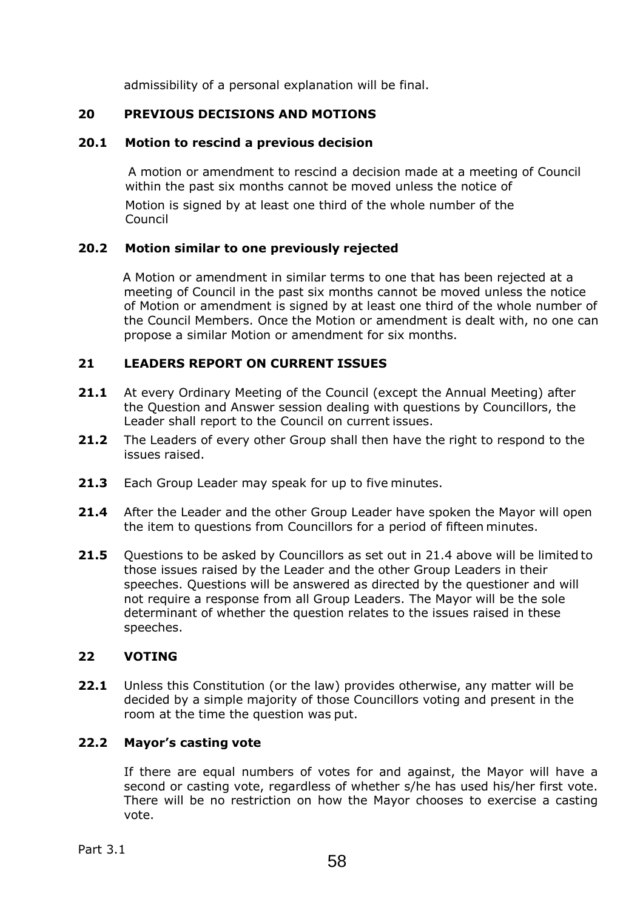admissibility of a personal explanation will be final.

## **20 PREVIOUS DECISIONS AND MOTIONS**

## **20.1 Motion to rescind a previous decision**

 A motion or amendment to rescind a decision made at a meeting of Council within the past six months cannot be moved unless the notice of

Motion is signed by at least one third of the whole number of the Council

## **20.2 Motion similar to one previously rejected**

 A Motion or amendment in similar terms to one that has been rejected at a meeting of Council in the past six months cannot be moved unless the notice of Motion or amendment is signed by at least one third of the whole number of the Council Members. Once the Motion or amendment is dealt with, no one can propose a similar Motion or amendment for six months.

## **21 LEADERS REPORT ON CURRENT ISSUES**

- **21.1** At every Ordinary Meeting of the Council (except the Annual Meeting) after the Question and Answer session dealing with questions by Councillors, the Leader shall report to the Council on current issues.
- **21.2** The Leaders of every other Group shall then have the right to respond to the issues raised.
- **21.3** Each Group Leader may speak for up to five minutes.
- **21.4** After the Leader and the other Group Leader have spoken the Mayor will open the item to questions from Councillors for a period of fifteen minutes.
- **21.5** Questions to be asked by Councillors as set out in 21.4 above will be limited to those issues raised by the Leader and the other Group Leaders in their speeches. Questions will be answered as directed by the questioner and will not require a response from all Group Leaders. The Mayor will be the sole determinant of whether the question relates to the issues raised in these speeches.

## **22 VOTING**

**22.1** Unless this Constitution (or the law) provides otherwise, any matter will be decided by a simple majority of those Councillors voting and present in the room at the time the question was put.

## **22.2 Mayor's casting vote**

If there are equal numbers of votes for and against, the Mayor will have a second or casting vote, regardless of whether s/he has used his/her first vote. There will be no restriction on how the Mayor chooses to exercise a casting vote.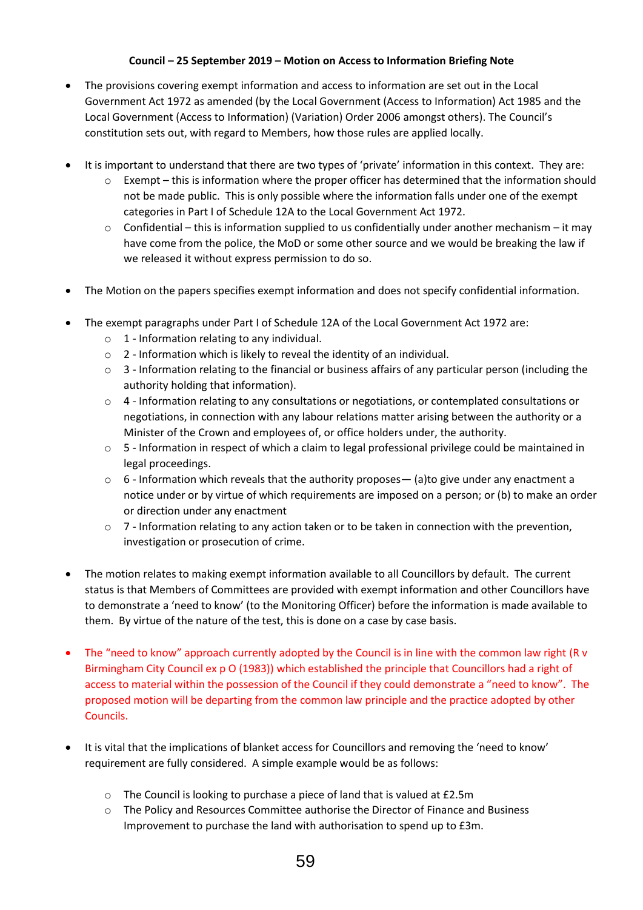#### **Council – 25 September 2019 – Motion on Access to Information Briefing Note**

- The provisions covering exempt information and access to information are set out in the Local Government Act 1972 as amended (by the Local Government (Access to Information) Act 1985 and the Local Government (Access to Information) (Variation) Order 2006 amongst others). The Council's constitution sets out, with regard to Members, how those rules are applied locally.
- It is important to understand that there are two types of 'private' information in this context. They are:
	- $\circ$  Exempt this is information where the proper officer has determined that the information should not be made public. This is only possible where the information falls under one of the exempt categories in Part I of Schedule 12A to the Local Government Act 1972.
	- o Confidential this is information supplied to us confidentially under another mechanism it may have come from the police, the MoD or some other source and we would be breaking the law if we released it without express permission to do so.
- The Motion on the papers specifies exempt information and does not specify confidential information.
- The exempt paragraphs under Part I of Schedule 12A of the Local Government Act 1972 are:
	- $\circ$  1 Information relating to any individual.
	- o 2 Information which is likely to reveal the identity of an individual.
	- $\circ$  3 Information relating to the financial or business affairs of any particular person (including the authority holding that information).
	- o 4 Information relating to any consultations or negotiations, or contemplated consultations or negotiations, in connection with any labour relations matter arising between the authority or a Minister of the Crown and employees of, or office holders under, the authority.
	- $\circ$  5 Information in respect of which a claim to legal professional privilege could be maintained in legal proceedings.
	- $\circ$  6 Information which reveals that the authority proposes (a)to give under any enactment a notice under or by virtue of which requirements are imposed on a person; or (b) to make an order or direction under any enactment
	- $\circ$  7 Information relating to any action taken or to be taken in connection with the prevention, investigation or prosecution of crime.
- The motion relates to making exempt information available to all Councillors by default. The current status is that Members of Committees are provided with exempt information and other Councillors have to demonstrate a 'need to know' (to the Monitoring Officer) before the information is made available to them. By virtue of the nature of the test, this is done on a case by case basis.
- The "need to know" approach currently adopted by the Council is in line with the common law right (R v Birmingham City Council ex p O (1983)) which established the principle that Councillors had a right of access to material within the possession of the Council if they could demonstrate a "need to know". The proposed motion will be departing from the common law principle and the practice adopted by other Councils.
- It is vital that the implications of blanket access for Councillors and removing the 'need to know' requirement are fully considered. A simple example would be as follows:
	- o The Council is looking to purchase a piece of land that is valued at £2.5m
	- o The Policy and Resources Committee authorise the Director of Finance and Business Improvement to purchase the land with authorisation to spend up to £3m.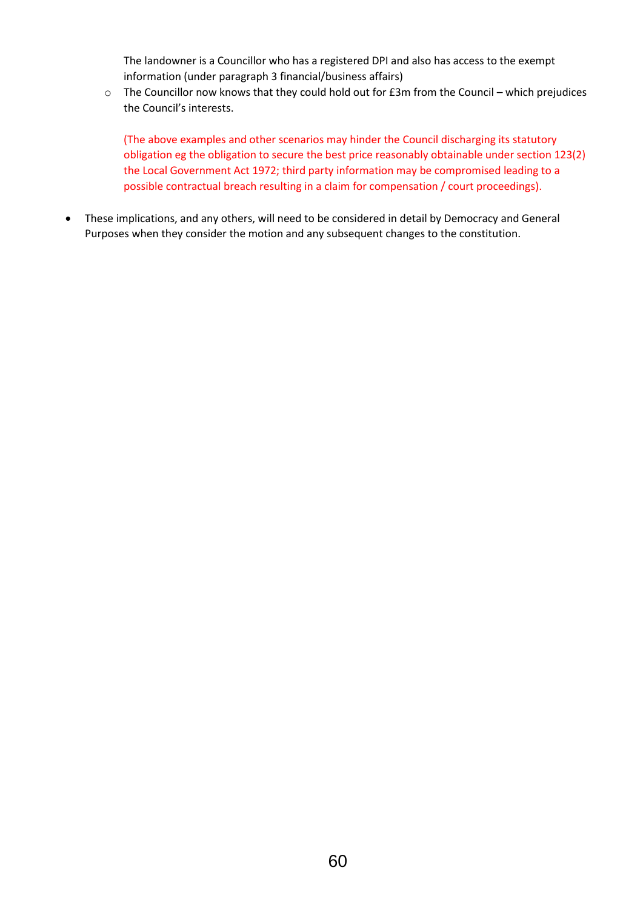The landowner is a Councillor who has a registered DPI and also has access to the exempt information (under paragraph 3 financial/business affairs)

o The Councillor now knows that they could hold out for £3m from the Council – which prejudices the Council's interests.

(The above examples and other scenarios may hinder the Council discharging its statutory obligation eg the obligation to secure the best price reasonably obtainable under section 123(2) the Local Government Act 1972; third party information may be compromised leading to a possible contractual breach resulting in a claim for compensation / court proceedings).

 These implications, and any others, will need to be considered in detail by Democracy and General Purposes when they consider the motion and any subsequent changes to the constitution.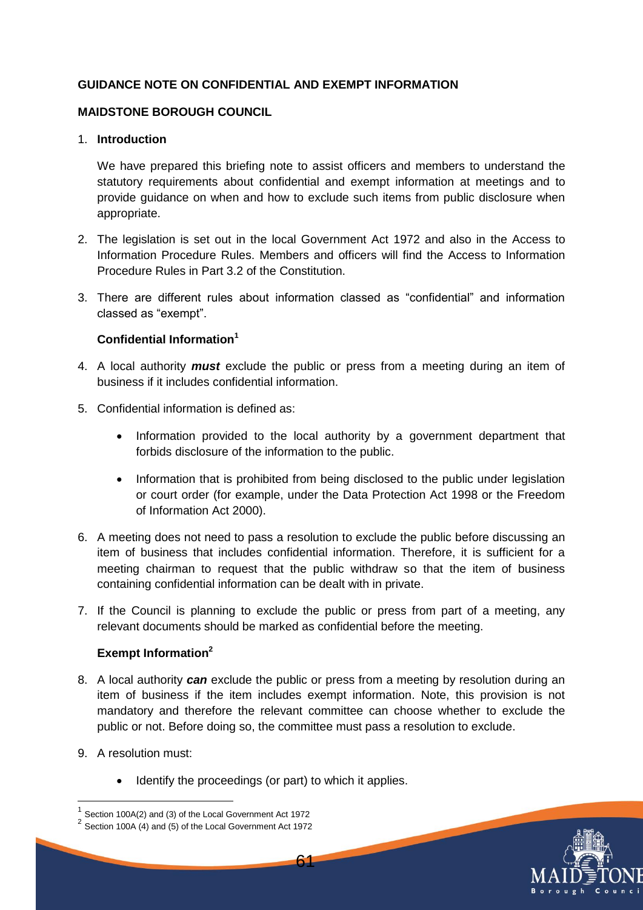## **GUIDANCE NOTE ON CONFIDENTIAL AND EXEMPT INFORMATION**

### **MAIDSTONE BOROUGH COUNCIL**

#### 1. **Introduction**

We have prepared this briefing note to assist officers and members to understand the statutory requirements about confidential and exempt information at meetings and to provide guidance on when and how to exclude such items from public disclosure when appropriate.

- 2. The legislation is set out in the local Government Act 1972 and also in the Access to Information Procedure Rules. Members and officers will find the Access to Information Procedure Rules in Part 3.2 of the Constitution.
- 3. There are different rules about information classed as "confidential" and information classed as "exempt".

#### **Confidential Information<sup>1</sup>**

- 4. A local authority *must* exclude the public or press from a meeting during an item of business if it includes confidential information.
- 5. Confidential information is defined as:
	- Information provided to the local authority by a government department that forbids disclosure of the information to the public.
	- Information that is prohibited from being disclosed to the public under legislation or court order (for example, under the Data Protection Act 1998 or the Freedom of Information Act 2000).
- 6. A meeting does not need to pass a resolution to exclude the public before discussing an item of business that includes confidential information. Therefore, it is sufficient for a meeting chairman to request that the public withdraw so that the item of business containing confidential information can be dealt with in private.
- 7. If the Council is planning to exclude the public or press from part of a meeting, any relevant documents should be marked as confidential before the meeting.

## **Exempt Information<sup>2</sup>**

8. A local authority *can* exclude the public or press from a meeting by resolution during an item of business if the item includes exempt information. Note, this provision is not mandatory and therefore the relevant committee can choose whether to exclude the public or not. Before doing so, the committee must pass a resolution to exclude.

61

9. A resolution must:

1

Identify the proceedings (or part) to which it applies.



 $1$  Section 100A(2) and (3) of the Local Government Act 1972

 $2^{2}$  Section 100A (4) and (5) of the Local Government Act 1972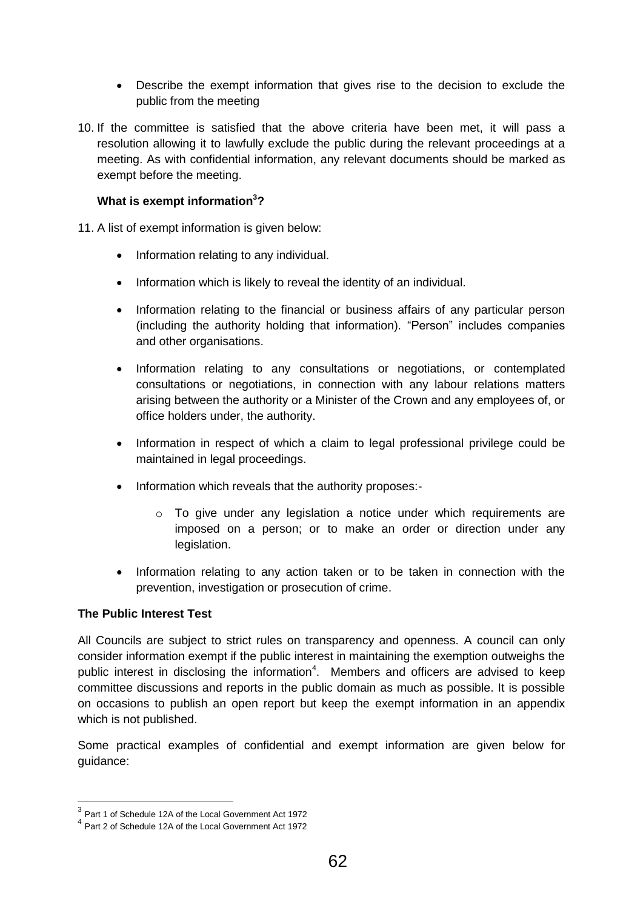- Describe the exempt information that gives rise to the decision to exclude the public from the meeting
- 10. If the committee is satisfied that the above criteria have been met, it will pass a resolution allowing it to lawfully exclude the public during the relevant proceedings at a meeting. As with confidential information, any relevant documents should be marked as exempt before the meeting.

## **What is exempt information<sup>3</sup>?**

11. A list of exempt information is given below:

- Information relating to any individual.
- Information which is likely to reveal the identity of an individual.
- Information relating to the financial or business affairs of any particular person (including the authority holding that information). "Person" includes companies and other organisations.
- Information relating to any consultations or negotiations, or contemplated consultations or negotiations, in connection with any labour relations matters arising between the authority or a Minister of the Crown and any employees of, or office holders under, the authority.
- Information in respect of which a claim to legal professional privilege could be maintained in legal proceedings.
- Information which reveals that the authority proposes:-
	- $\circ$  To give under any legislation a notice under which requirements are imposed on a person; or to make an order or direction under any legislation.
- Information relating to any action taken or to be taken in connection with the prevention, investigation or prosecution of crime.

#### **The Public Interest Test**

All Councils are subject to strict rules on transparency and openness. A council can only consider information exempt if the public interest in maintaining the exemption outweighs the public interest in disclosing the information<sup>4</sup>. Members and officers are advised to keep committee discussions and reports in the public domain as much as possible. It is possible on occasions to publish an open report but keep the exempt information in an appendix which is not published.

Some practical examples of confidential and exempt information are given below for guidance:

 3 Part 1 of Schedule 12A of the Local Government Act 1972

<sup>4</sup> Part 2 of Schedule 12A of the Local Government Act 1972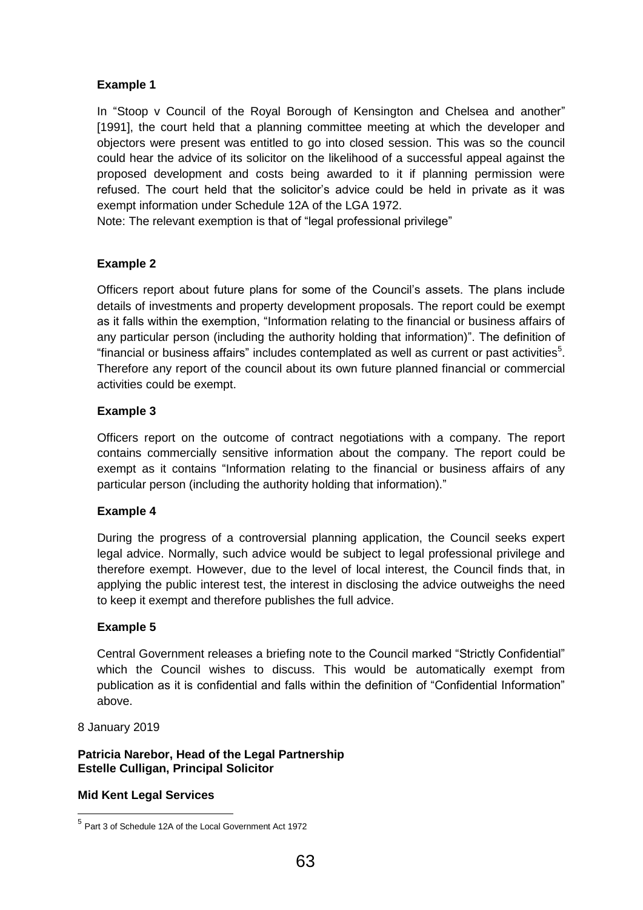## **Example 1**

In "Stoop v Council of the Royal Borough of Kensington and Chelsea and another" [1991], the court held that a planning committee meeting at which the developer and objectors were present was entitled to go into closed session. This was so the council could hear the advice of its solicitor on the likelihood of a successful appeal against the proposed development and costs being awarded to it if planning permission were refused. The court held that the solicitor's advice could be held in private as it was exempt information under Schedule 12A of the LGA 1972.

Note: The relevant exemption is that of "legal professional privilege"

## **Example 2**

Officers report about future plans for some of the Council's assets. The plans include details of investments and property development proposals. The report could be exempt as it falls within the exemption, "Information relating to the financial or business affairs of any particular person (including the authority holding that information)". The definition of "financial or business affairs" includes contemplated as well as current or past activities $5$ . Therefore any report of the council about its own future planned financial or commercial activities could be exempt.

#### **Example 3**

Officers report on the outcome of contract negotiations with a company. The report contains commercially sensitive information about the company. The report could be exempt as it contains "Information relating to the financial or business affairs of any particular person (including the authority holding that information)."

#### **Example 4**

During the progress of a controversial planning application, the Council seeks expert legal advice. Normally, such advice would be subject to legal professional privilege and therefore exempt. However, due to the level of local interest, the Council finds that, in applying the public interest test, the interest in disclosing the advice outweighs the need to keep it exempt and therefore publishes the full advice.

#### **Example 5**

Central Government releases a briefing note to the Council marked "Strictly Confidential" which the Council wishes to discuss. This would be automatically exempt from publication as it is confidential and falls within the definition of "Confidential Information" above.

8 January 2019

**Patricia Narebor, Head of the Legal Partnership Estelle Culligan, Principal Solicitor**

#### **Mid Kent Legal Services**

 5 Part 3 of Schedule 12A of the Local Government Act 1972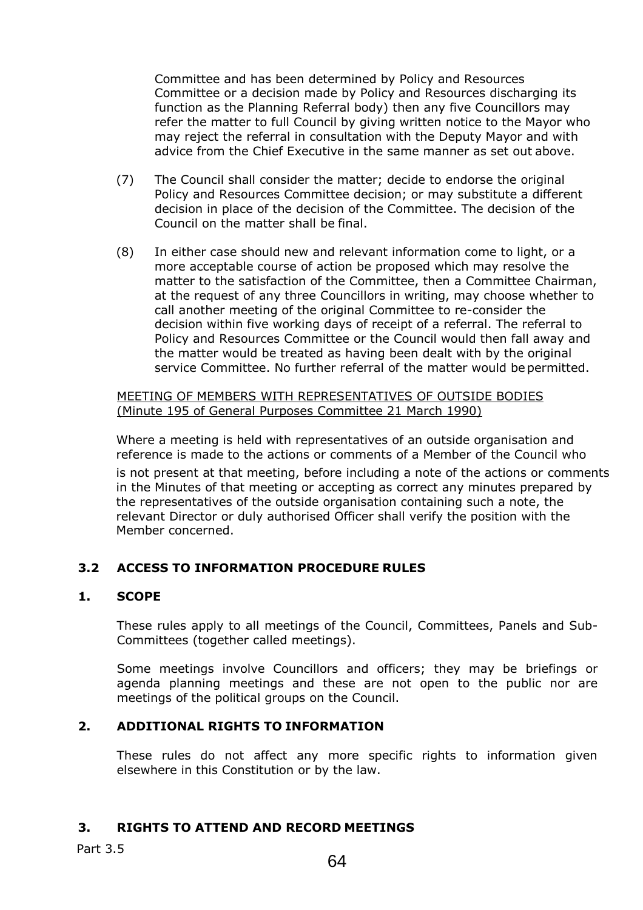Committee and has been determined by Policy and Resources Committee or a decision made by Policy and Resources discharging its function as the Planning Referral body) then any five Councillors may refer the matter to full Council by giving written notice to the Mayor who may reject the referral in consultation with the Deputy Mayor and with advice from the Chief Executive in the same manner as set out above.

- (7) The Council shall consider the matter; decide to endorse the original Policy and Resources Committee decision; or may substitute a different decision in place of the decision of the Committee. The decision of the Council on the matter shall be final.
- (8) In either case should new and relevant information come to light, or a more acceptable course of action be proposed which may resolve the matter to the satisfaction of the Committee, then a Committee Chairman, at the request of any three Councillors in writing, may choose whether to call another meeting of the original Committee to re-consider the decision within five working days of receipt of a referral. The referral to Policy and Resources Committee or the Council would then fall away and the matter would be treated as having been dealt with by the original service Committee. No further referral of the matter would be permitted.

MEETING OF MEMBERS WITH REPRESENTATIVES OF OUTSIDE BODIES (Minute 195 of General Purposes Committee 21 March 1990)

Where a meeting is held with representatives of an outside organisation and reference is made to the actions or comments of a Member of the Council who

is not present at that meeting, before including a note of the actions or comments in the Minutes of that meeting or accepting as correct any minutes prepared by the representatives of the outside organisation containing such a note, the relevant Director or duly authorised Officer shall verify the position with the Member concerned.

## **3.2 ACCESS TO INFORMATION PROCEDURE RULES**

#### **1. SCOPE**

These rules apply to all meetings of the Council, Committees, Panels and Sub-Committees (together called meetings).

Some meetings involve Councillors and officers; they may be briefings or agenda planning meetings and these are not open to the public nor are meetings of the political groups on the Council.

## **2. ADDITIONAL RIGHTS TO INFORMATION**

These rules do not affect any more specific rights to information given elsewhere in this Constitution or by the law.

#### **3. RIGHTS TO ATTEND AND RECORD MEETINGS**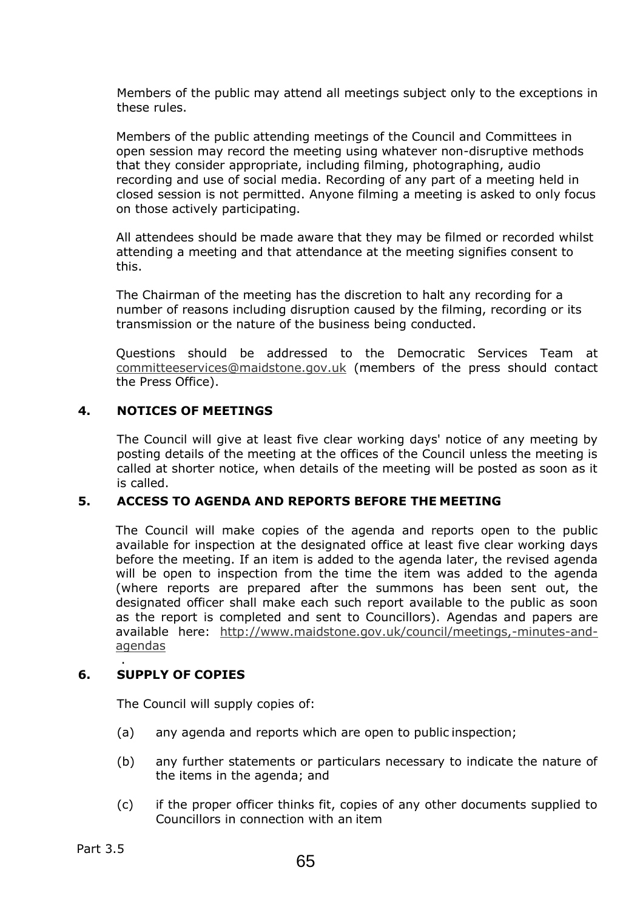Members of the public may attend all meetings subject only to the exceptions in these rules.

Members of the public attending meetings of the Council and Committees in open session may record the meeting using whatever non-disruptive methods that they consider appropriate, including filming, photographing, audio recording and use of social media. Recording of any part of a meeting held in closed session is not permitted. Anyone filming a meeting is asked to only focus on those actively participating.

All attendees should be made aware that they may be filmed or recorded whilst attending a meeting and that attendance at the meeting signifies consent to this.

The Chairman of the meeting has the discretion to halt any recording for a number of reasons including disruption caused by the filming, recording or its transmission or the nature of the business being conducted.

Questions should be addressed to the Democratic Services Team at committeeservices@maidstone.gov.uk (members of the press should contact the Press Office).

## **4. NOTICES OF MEETINGS**

The Council will give at least five clear working days' notice of any meeting by posting details of the meeting at the offices of the Council unless the meeting is called at shorter notice, when details of the meeting will be posted as soon as it is called.

#### **5. ACCESS TO AGENDA AND REPORTS BEFORE THE MEETING**

The Council will make copies of the agenda and reports open to the public available for inspection at the designated office at least five clear working days before the meeting. If an item is added to the agenda later, the revised agenda will be open to inspection from the time the item was added to the agenda (where reports are prepared after the summons has been sent out, the designated officer shall make each such report available to the public as soon as the report is completed and sent to Councillors). Agendas and papers are available here: http://www.maidstone.gov.uk/council/meetings,-minutes-andagendas

#### . **6. SUPPLY OF COPIES**

The Council will supply copies of:

- (a) any agenda and reports which are open to public inspection;
- (b) any further statements or particulars necessary to indicate the nature of the items in the agenda; and
- (c) if the proper officer thinks fit, copies of any other documents supplied to Councillors in connection with an item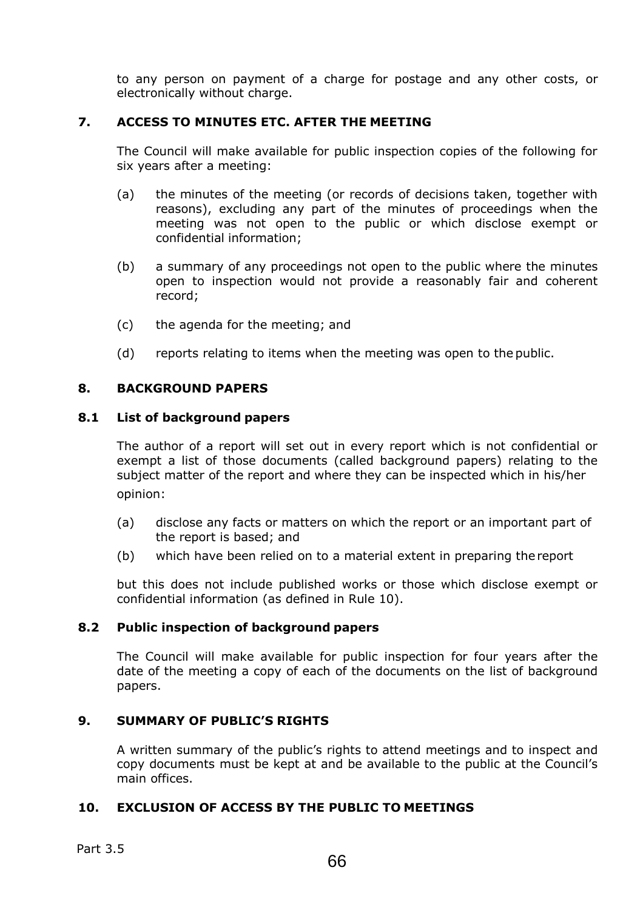to any person on payment of a charge for postage and any other costs, or electronically without charge.

## **7. ACCESS TO MINUTES ETC. AFTER THE MEETING**

The Council will make available for public inspection copies of the following for six years after a meeting:

- (a) the minutes of the meeting (or records of decisions taken, together with reasons), excluding any part of the minutes of proceedings when the meeting was not open to the public or which disclose exempt or confidential information;
- (b) a summary of any proceedings not open to the public where the minutes open to inspection would not provide a reasonably fair and coherent record;
- (c) the agenda for the meeting; and
- (d) reports relating to items when the meeting was open to the public.

## **8. BACKGROUND PAPERS**

#### **8.1 List of background papers**

The author of a report will set out in every report which is not confidential or exempt a list of those documents (called background papers) relating to the subject matter of the report and where they can be inspected which in his/her opinion:

- (a) disclose any facts or matters on which the report or an important part of the report is based; and
- (b) which have been relied on to a material extent in preparing the report

but this does not include published works or those which disclose exempt or confidential information (as defined in Rule 10).

#### **8.2 Public inspection of background papers**

The Council will make available for public inspection for four years after the date of the meeting a copy of each of the documents on the list of background papers.

#### **9. SUMMARY OF PUBLIC'S RIGHTS**

A written summary of the public's rights to attend meetings and to inspect and copy documents must be kept at and be available to the public at the Council's main offices.

#### **10. EXCLUSION OF ACCESS BY THE PUBLIC TO MEETINGS**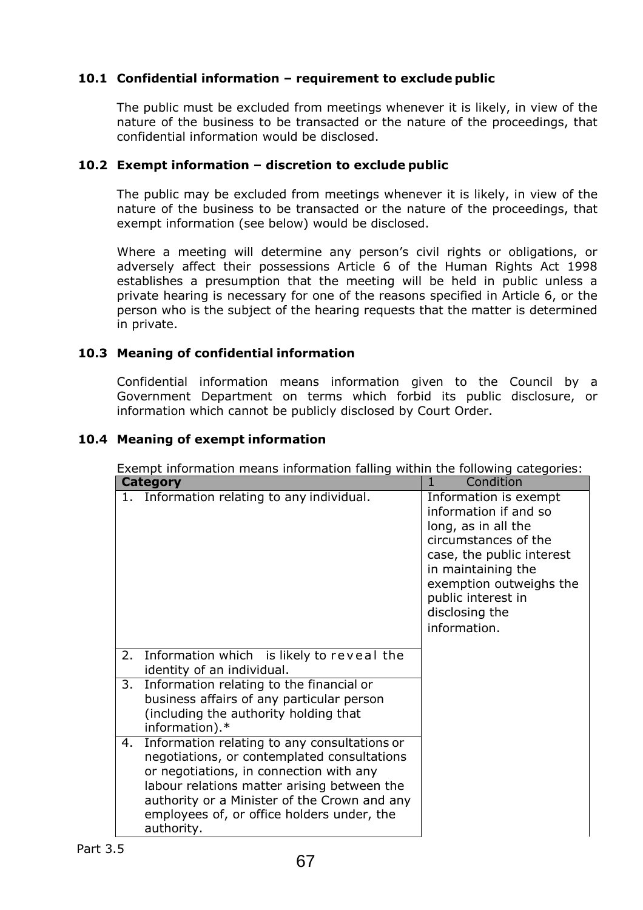## **10.1 Confidential information – requirement to exclude public**

The public must be excluded from meetings whenever it is likely, in view of the nature of the business to be transacted or the nature of the proceedings, that confidential information would be disclosed.

## **10.2 Exempt information – discretion to exclude public**

The public may be excluded from meetings whenever it is likely, in view of the nature of the business to be transacted or the nature of the proceedings, that exempt information (see below) would be disclosed.

Where a meeting will determine any person's civil rights or obligations, or adversely affect their possessions Article 6 of the Human Rights Act 1998 establishes a presumption that the meeting will be held in public unless a private hearing is necessary for one of the reasons specified in Article 6, or the person who is the subject of the hearing requests that the matter is determined in private.

## **10.3 Meaning of confidential information**

Confidential information means information given to the Council by a Government Department on terms which forbid its public disclosure, or information which cannot be publicly disclosed by Court Order.

## **10.4 Meaning of exempt information**

Exempt information means information falling within the following categories:

|    | <b>Category</b>                                                                                                                                                                                                                                                                                   | Condition<br>$\mathbf{1}$                                                                                                                                                                                                           |
|----|---------------------------------------------------------------------------------------------------------------------------------------------------------------------------------------------------------------------------------------------------------------------------------------------------|-------------------------------------------------------------------------------------------------------------------------------------------------------------------------------------------------------------------------------------|
| 1. | Information relating to any individual.                                                                                                                                                                                                                                                           | Information is exempt<br>information if and so<br>long, as in all the<br>circumstances of the<br>case, the public interest<br>in maintaining the<br>exemption outweighs the<br>public interest in<br>disclosing the<br>information. |
| 2. | Information which is likely to reveal the<br>identity of an individual.                                                                                                                                                                                                                           |                                                                                                                                                                                                                                     |
| 3. | Information relating to the financial or<br>business affairs of any particular person<br>(including the authority holding that<br>information).*                                                                                                                                                  |                                                                                                                                                                                                                                     |
| 4. | Information relating to any consultations or<br>negotiations, or contemplated consultations<br>or negotiations, in connection with any<br>labour relations matter arising between the<br>authority or a Minister of the Crown and any<br>employees of, or office holders under, the<br>authority. |                                                                                                                                                                                                                                     |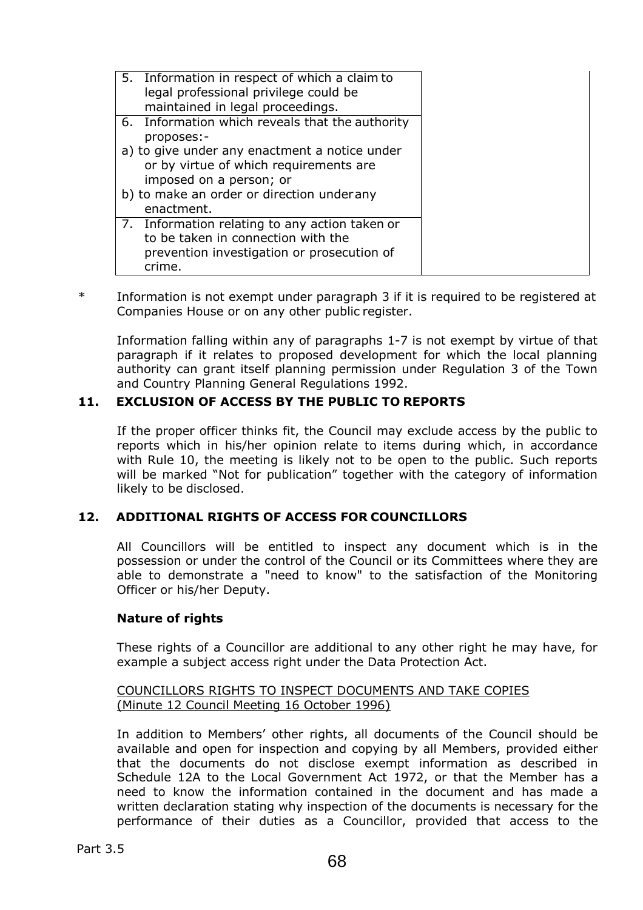| 5. Information in respect of which a claim to<br>legal professional privilege could be<br>maintained in legal proceedings.                   |  |
|----------------------------------------------------------------------------------------------------------------------------------------------|--|
| 6. Information which reveals that the authority<br>proposes:-                                                                                |  |
| a) to give under any enactment a notice under<br>or by virtue of which requirements are<br>imposed on a person; or                           |  |
| b) to make an order or direction under any<br>enactment.                                                                                     |  |
| 7. Information relating to any action taken or<br>to be taken in connection with the<br>prevention investigation or prosecution of<br>crime. |  |

\* Information is not exempt under paragraph 3 if it is required to be registered at Companies House or on any other public register.

Information falling within any of paragraphs 1-7 is not exempt by virtue of that paragraph if it relates to proposed development for which the local planning authority can grant itself planning permission under Regulation 3 of the Town and Country Planning General Regulations 1992.

## **11. EXCLUSION OF ACCESS BY THE PUBLIC TO REPORTS**

If the proper officer thinks fit, the Council may exclude access by the public to reports which in his/her opinion relate to items during which, in accordance with Rule 10, the meeting is likely not to be open to the public. Such reports will be marked "Not for publication" together with the category of information likely to be disclosed.

## **12. ADDITIONAL RIGHTS OF ACCESS FOR COUNCILLORS**

All Councillors will be entitled to inspect any document which is in the possession or under the control of the Council or its Committees where they are able to demonstrate a "need to know" to the satisfaction of the Monitoring Officer or his/her Deputy.

## **Nature of rights**

These rights of a Councillor are additional to any other right he may have, for example a subject access right under the Data Protection Act.

#### COUNCILLORS RIGHTS TO INSPECT DOCUMENTS AND TAKE COPIES (Minute 12 Council Meeting 16 October 1996)

In addition to Members' other rights, all documents of the Council should be available and open for inspection and copying by all Members, provided either that the documents do not disclose exempt information as described in Schedule 12A to the Local Government Act 1972, or that the Member has a need to know the information contained in the document and has made a written declaration stating why inspection of the documents is necessary for the performance of their duties as a Councillor, provided that access to the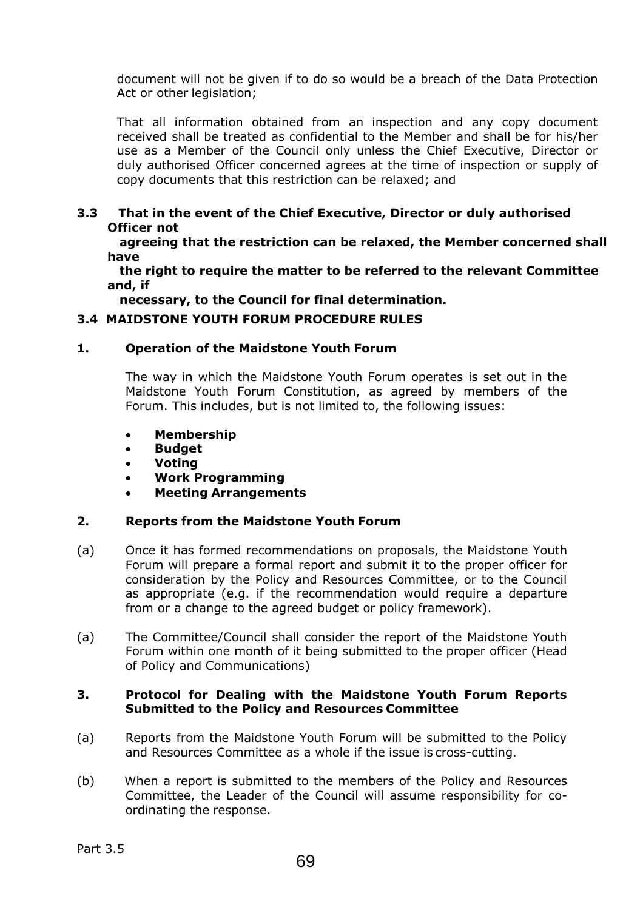document will not be given if to do so would be a breach of the Data Protection Act or other legislation:

That all information obtained from an inspection and any copy document received shall be treated as confidential to the Member and shall be for his/her use as a Member of the Council only unless the Chief Executive, Director or duly authorised Officer concerned agrees at the time of inspection or supply of copy documents that this restriction can be relaxed; and

## **3.3 That in the event of the Chief Executive, Director or duly authorised Officer not**

 **agreeing that the restriction can be relaxed, the Member concerned shall have** 

 **the right to require the matter to be referred to the relevant Committee and, if** 

 **necessary, to the Council for final determination.** 

## **3.4 MAIDSTONE YOUTH FORUM PROCEDURE RULES**

## **1. Operation of the Maidstone Youth Forum**

The way in which the Maidstone Youth Forum operates is set out in the Maidstone Youth Forum Constitution, as agreed by members of the Forum. This includes, but is not limited to, the following issues:

- · **Membership**
- · **Budget**
- · **Voting**
- · **Work Programming**
- · **Meeting Arrangements**

## **2. Reports from the Maidstone Youth Forum**

- (a) Once it has formed recommendations on proposals, the Maidstone Youth Forum will prepare a formal report and submit it to the proper officer for consideration by the Policy and Resources Committee, or to the Council as appropriate (e.g. if the recommendation would require a departure from or a change to the agreed budget or policy framework).
- (a) The Committee/Council shall consider the report of the Maidstone Youth Forum within one month of it being submitted to the proper officer (Head of Policy and Communications)

## **3. Protocol for Dealing with the Maidstone Youth Forum Reports Submitted to the Policy and Resources Committee**

- (a) Reports from the Maidstone Youth Forum will be submitted to the Policy and Resources Committee as a whole if the issue is cross-cutting.
- (b) When a report is submitted to the members of the Policy and Resources Committee, the Leader of the Council will assume responsibility for coordinating the response.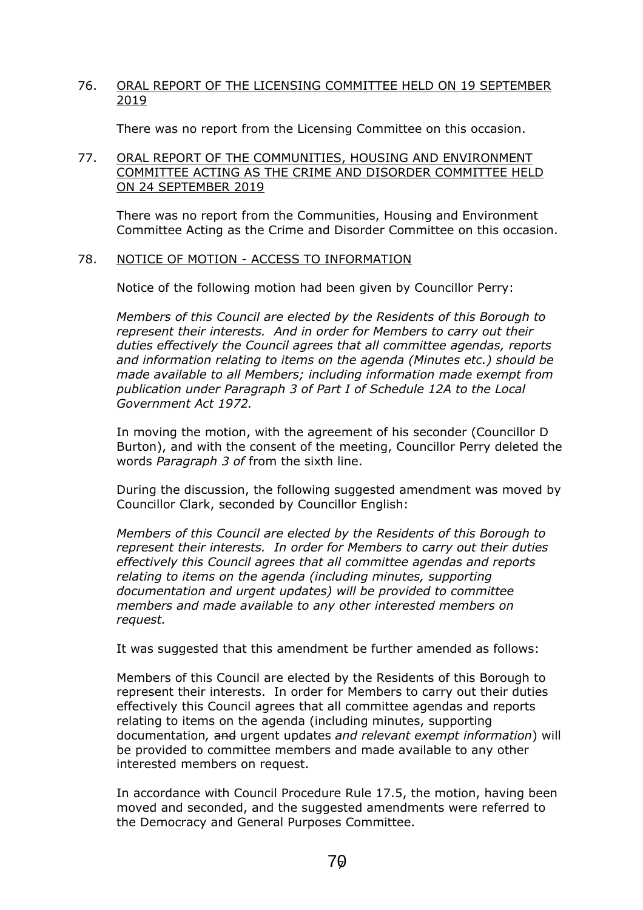## 76. ORAL REPORT OF THE LICENSING COMMITTEE HELD ON 19 SEPTEMBER 2019

There was no report from the Licensing Committee on this occasion.

## 77. ORAL REPORT OF THE COMMUNITIES, HOUSING AND ENVIRONMENT COMMITTEE ACTING AS THE CRIME AND DISORDER COMMITTEE HELD ON 24 SEPTEMBER 2019

There was no report from the Communities, Housing and Environment Committee Acting as the Crime and Disorder Committee on this occasion.

#### 78. NOTICE OF MOTION - ACCESS TO INFORMATION

Notice of the following motion had been given by Councillor Perry:

*Members of this Council are elected by the Residents of this Borough to represent their interests. And in order for Members to carry out their duties effectively the Council agrees that all committee agendas, reports and information relating to items on the agenda (Minutes etc.) should be made available to all Members; including information made exempt from publication under Paragraph 3 of Part I of Schedule 12A to the Local Government Act 1972.*

In moving the motion, with the agreement of his seconder (Councillor D Burton), and with the consent of the meeting, Councillor Perry deleted the words *Paragraph 3 of* from the sixth line.

During the discussion, the following suggested amendment was moved by Councillor Clark, seconded by Councillor English:

*Members of this Council are elected by the Residents of this Borough to represent their interests. In order for Members to carry out their duties effectively this Council agrees that all committee agendas and reports relating to items on the agenda (including minutes, supporting documentation and urgent updates) will be provided to committee members and made available to any other interested members on request.*

It was suggested that this amendment be further amended as follows:

Members of this Council are elected by the Residents of this Borough to represent their interests. In order for Members to carry out their duties effectively this Council agrees that all committee agendas and reports relating to items on the agenda (including minutes, supporting documentation*,* and urgent updates *and relevant exempt information*) will be provided to committee members and made available to any other interested members on request.

In accordance with Council Procedure Rule 17.5, the motion, having been moved and seconded, and the suggested amendments were referred to the Democracy and General Purposes Committee.